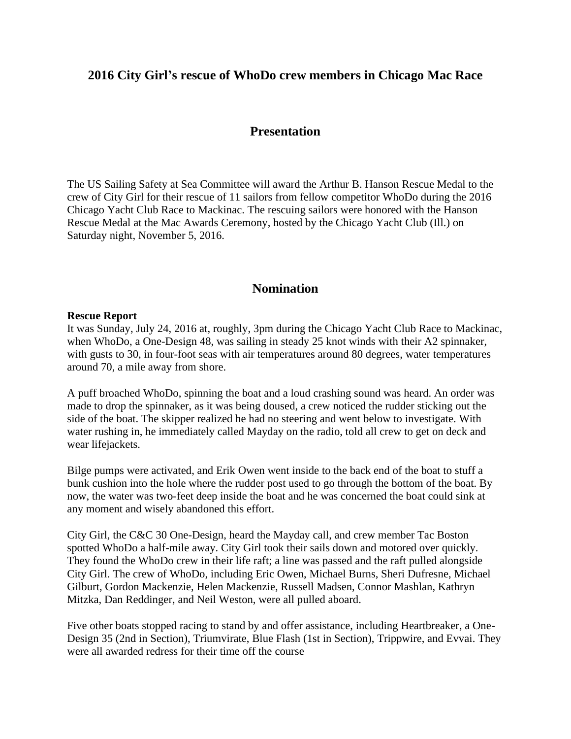## **2016 City Girl's rescue of WhoDo crew members in Chicago Mac Race**

### **Presentation**

The US Sailing Safety at Sea Committee will award the Arthur B. Hanson Rescue Medal to the crew of City Girl for their rescue of 11 sailors from fellow competitor WhoDo during the 2016 Chicago Yacht Club Race to Mackinac. The rescuing sailors were honored with the Hanson Rescue Medal at the Mac Awards Ceremony, hosted by the Chicago Yacht Club (Ill.) on Saturday night, November 5, 2016.

### **Nomination**

#### **Rescue Report**

It was Sunday, July 24, 2016 at, roughly, 3pm during the Chicago Yacht Club Race to Mackinac, when WhoDo, a One-Design 48, was sailing in steady 25 knot winds with their A2 spinnaker, with gusts to 30, in four-foot seas with air temperatures around 80 degrees, water temperatures around 70, a mile away from shore.

A puff broached WhoDo, spinning the boat and a loud crashing sound was heard. An order was made to drop the spinnaker, as it was being doused, a crew noticed the rudder sticking out the side of the boat. The skipper realized he had no steering and went below to investigate. With water rushing in, he immediately called Mayday on the radio, told all crew to get on deck and wear lifejackets.

Bilge pumps were activated, and Erik Owen went inside to the back end of the boat to stuff a bunk cushion into the hole where the rudder post used to go through the bottom of the boat. By now, the water was two-feet deep inside the boat and he was concerned the boat could sink at any moment and wisely abandoned this effort.

City Girl, the C&C 30 One-Design, heard the Mayday call, and crew member Tac Boston spotted WhoDo a half-mile away. City Girl took their sails down and motored over quickly. They found the WhoDo crew in their life raft; a line was passed and the raft pulled alongside City Girl. The crew of WhoDo, including Eric Owen, Michael Burns, Sheri Dufresne, Michael Gilburt, Gordon Mackenzie, Helen Mackenzie, Russell Madsen, Connor Mashlan, Kathryn Mitzka, Dan Reddinger, and Neil Weston, were all pulled aboard.

Five other boats stopped racing to stand by and offer assistance, including Heartbreaker, a One-Design 35 (2nd in Section), Triumvirate, Blue Flash (1st in Section), Trippwire, and Evvai. They were all awarded redress for their time off the course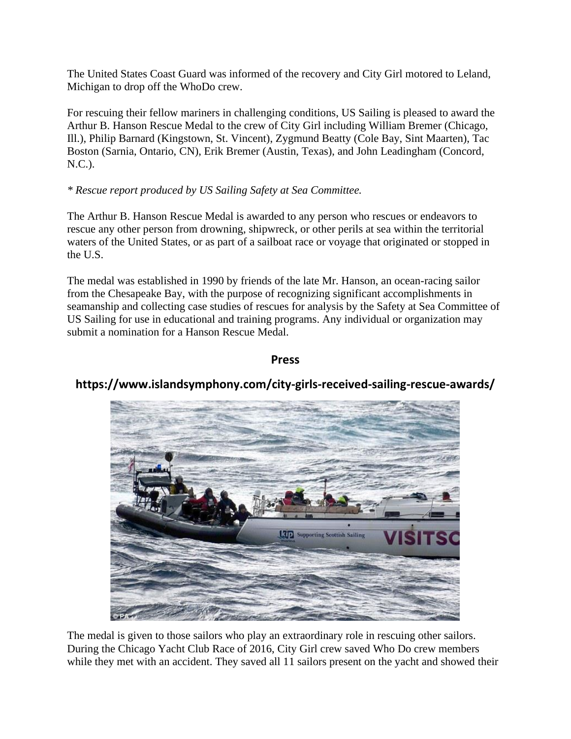The United States Coast Guard was informed of the recovery and City Girl motored to Leland, Michigan to drop off the WhoDo crew.

For rescuing their fellow mariners in challenging conditions, US Sailing is pleased to award the Arthur B. Hanson Rescue Medal to the crew of City Girl including William Bremer (Chicago, Ill.), Philip Barnard (Kingstown, St. Vincent), Zygmund Beatty (Cole Bay, Sint Maarten), Tac Boston (Sarnia, Ontario, CN), Erik Bremer (Austin, Texas), and John Leadingham (Concord, N.C.).

### *\* Rescue report produced by US Sailing Safety at Sea Committee.*

The Arthur B. Hanson Rescue Medal is awarded to any person who rescues or endeavors to rescue any other person from drowning, shipwreck, or other perils at sea within the territorial waters of the United States, or as part of a sailboat race or voyage that originated or stopped in the U.S.

The medal was established in 1990 by friends of the late Mr. Hanson, an ocean-racing sailor from the Chesapeake Bay, with the purpose of recognizing significant accomplishments in seamanship and collecting case studies of rescues for analysis by the Safety at Sea Committee of US Sailing for use in educational and training programs. Any individual or organization may submit a nomination for a Hanson Rescue Medal.

### **Press**



# **https://www.islandsymphony.com/city-girls-received-sailing-rescue-awards/**

The medal is given to those sailors who play an extraordinary role in rescuing other sailors. During the Chicago Yacht Club Race of 2016, City Girl crew saved Who Do crew members while they met with an accident. They saved all 11 sailors present on the yacht and showed their